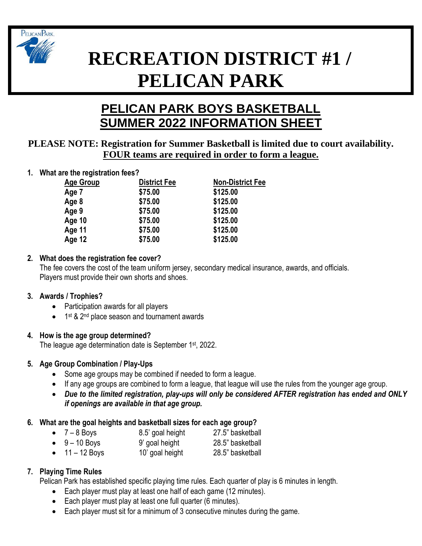

# **RECREATION DISTRICT #1 / PELICAN PARK**

# **PELICAN PARK BOYS BASKETBALL SUMMER 2022 INFORMATION SHEET**

# **PLEASE NOTE: Registration for Summer Basketball is limited due to court availability. FOUR teams are required in order to form a league.**

**1. What are the registration fees?**

| <b>Age Group</b> | <b>District Fee</b> | <b>Non-District Fee</b> |
|------------------|---------------------|-------------------------|
| Age 7            | \$75.00             | \$125.00                |
| Age 8            | \$75.00             | \$125.00                |
| Age 9            | \$75.00             | \$125.00                |
| Age 10           | \$75.00             | \$125.00                |
| Age 11           | \$75.00             | \$125.00                |
| Age 12           | \$75.00             | \$125.00                |

# **2. What does the registration fee cover?**

The fee covers the cost of the team uniform jersey, secondary medical insurance, awards, and officials. Players must provide their own shorts and shoes.

# **3. Awards / Trophies?**

- Participation awards for all players
- 1<sup>st</sup> & 2<sup>nd</sup> place season and tournament awards

# **4. How is the age group determined?**

The league age determination date is September 1<sup>st</sup>, 2022.

# **5. Age Group Combination / Play-Ups**

- Some age groups may be combined if needed to form a league.
- If any age groups are combined to form a league, that league will use the rules from the younger age group.
- *Due to the limited registration, play-ups will only be considered AFTER registration has ended and ONLY if openings are available in that age group.*

# **6. What are the goal heights and basketball sizes for each age group?**

- 7 8 Boys 8.5' goal height 27.5" basketball • 9 – 10 Boys 9' goal height 28.5" basketball
- 11 12 Boys 10' goal height 28.5" basketball

# **7. Playing Time Rules**

Pelican Park has established specific playing time rules. Each quarter of play is 6 minutes in length.

- Each player must play at least one half of each game (12 minutes).
- Each player must play at least one full quarter (6 minutes).
- Each player must sit for a minimum of 3 consecutive minutes during the game.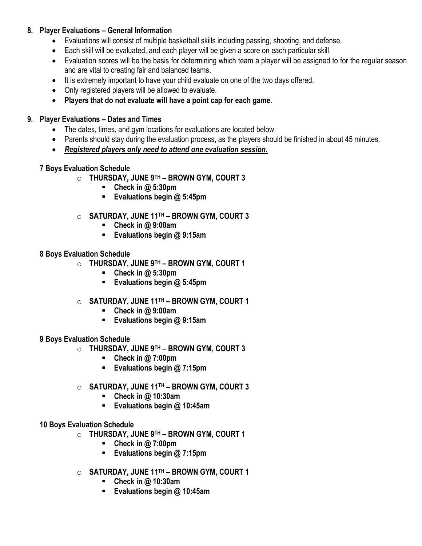# **8. Player Evaluations – General Information**

- Evaluations will consist of multiple basketball skills including passing, shooting, and defense.
- Each skill will be evaluated, and each player will be given a score on each particular skill.
- Evaluation scores will be the basis for determining which team a player will be assigned to for the regular season and are vital to creating fair and balanced teams.
- It is extremely important to have your child evaluate on one of the two days offered.
- Only registered players will be allowed to evaluate.
- **Players that do not evaluate will have a point cap for each game.**

# **9. Player Evaluations – Dates and Times**

- The dates, times, and gym locations for evaluations are located below.
- Parents should stay during the evaluation process, as the players should be finished in about 45 minutes.
- *Registered players only need to attend one evaluation session.*

#### **7 Boys Evaluation Schedule**

- o **THURSDAY, JUNE 9TH – BROWN GYM, COURT 3**
	- **Check in @ 5:30pm**
	- **Evaluations begin @ 5:45pm**
- o **SATURDAY, JUNE 11 TH – BROWN GYM, COURT 3**
	- **Check in @ 9:00am**
	- **Evaluations begin @ 9:15am**

#### **8 Boys Evaluation Schedule**

- o **THURSDAY, JUNE 9TH – BROWN GYM, COURT 1**
	- **Check in @ 5:30pm**
	- **Evaluations begin @ 5:45pm**
- o **SATURDAY, JUNE 11 TH – BROWN GYM, COURT 1**
	- **Check in @ 9:00am**
	- **Evaluations begin @ 9:15am**

#### **9 Boys Evaluation Schedule**

- o **THURSDAY, JUNE 9TH – BROWN GYM, COURT 3**
	- **Check in @ 7:00pm**
	- **Evaluations begin @ 7:15pm**
- o **SATURDAY, JUNE 11 TH – BROWN GYM, COURT 3**
	- **Check in @ 10:30am**
	- **Evaluations begin @ 10:45am**
- **10 Boys Evaluation Schedule**
	- o **THURSDAY, JUNE 9TH – BROWN GYM, COURT 1**
		- **Check in @ 7:00pm**
		- **Evaluations begin @ 7:15pm**
	- o **SATURDAY, JUNE 11 TH – BROWN GYM, COURT 1**
		- **Check in @ 10:30am**
		- **Evaluations begin @ 10:45am**